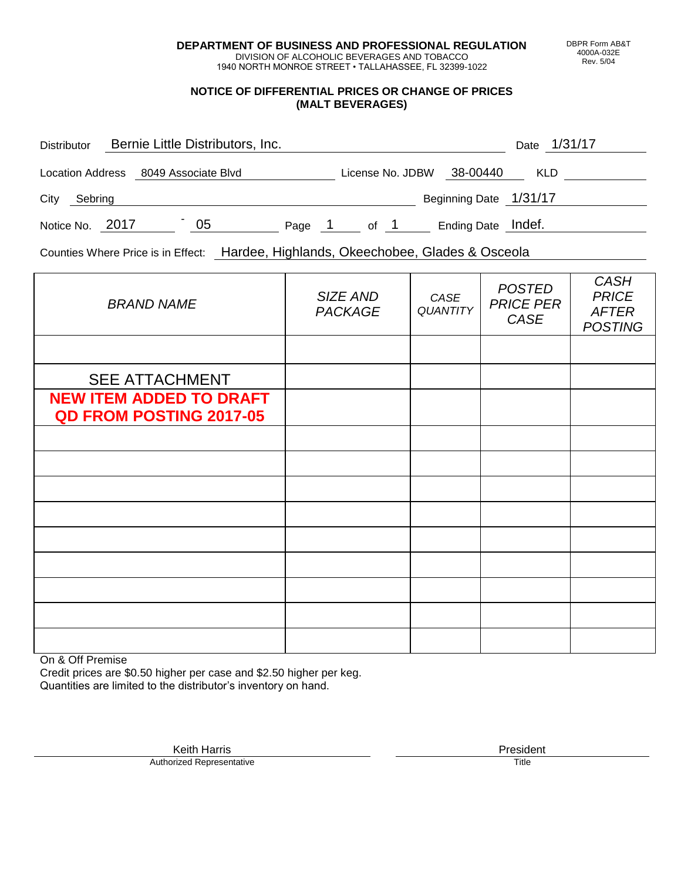**DEPARTMENT OF BUSINESS AND PROFESSIONAL REGULATION** DIVISION OF ALCOHOLIC BEVERAGES AND TOBACCO

1940 NORTH MONROE STREET • TALLAHASSEE, FL 32399-1022

## **NOTICE OF DIFFERENTIAL PRICES OR CHANGE OF PRICES (MALT BEVERAGES)**

| Bernie Little Distributors, Inc.<br><b>Distributor</b> |  |  |    |      |  |                  |  | Date 1/31/17           |            |  |  |  |
|--------------------------------------------------------|--|--|----|------|--|------------------|--|------------------------|------------|--|--|--|
| Location Address 8049 Associate Blvd                   |  |  |    |      |  | License No. JDBW |  | 38-00440               | <b>KLD</b> |  |  |  |
| City<br>Sebring                                        |  |  |    |      |  |                  |  | Beginning Date 1/31/17 |            |  |  |  |
| Notice No. 2017                                        |  |  | 05 | Page |  | of 1             |  | Ending Date Indef.     |            |  |  |  |

Counties Where Price is in Effect: Hardee, Highlands, Okeechobee, Glades & Osceola

| <b>BRAND NAME</b>                                                | SIZE AND<br><b>PACKAGE</b> | CASE<br><b>QUANTITY</b> | <b>POSTED</b><br><b>PRICE PER</b><br><b>CASE</b> | <b>CASH</b><br><b>PRICE</b><br><b>AFTER</b><br><b>POSTING</b> |  |  |
|------------------------------------------------------------------|----------------------------|-------------------------|--------------------------------------------------|---------------------------------------------------------------|--|--|
|                                                                  |                            |                         |                                                  |                                                               |  |  |
| <b>SEE ATTACHMENT</b>                                            |                            |                         |                                                  |                                                               |  |  |
| <b>NEW ITEM ADDED TO DRAFT</b><br><b>QD FROM POSTING 2017-05</b> |                            |                         |                                                  |                                                               |  |  |
|                                                                  |                            |                         |                                                  |                                                               |  |  |
|                                                                  |                            |                         |                                                  |                                                               |  |  |
|                                                                  |                            |                         |                                                  |                                                               |  |  |
|                                                                  |                            |                         |                                                  |                                                               |  |  |
|                                                                  |                            |                         |                                                  |                                                               |  |  |
|                                                                  |                            |                         |                                                  |                                                               |  |  |
|                                                                  |                            |                         |                                                  |                                                               |  |  |
|                                                                  |                            |                         |                                                  |                                                               |  |  |
|                                                                  |                            |                         |                                                  |                                                               |  |  |

On & Off Premise

Credit prices are \$0.50 higher per case and \$2.50 higher per keg. Quantities are limited to the distributor's inventory on hand.

> Keith Harris **President** Authorized Representative Title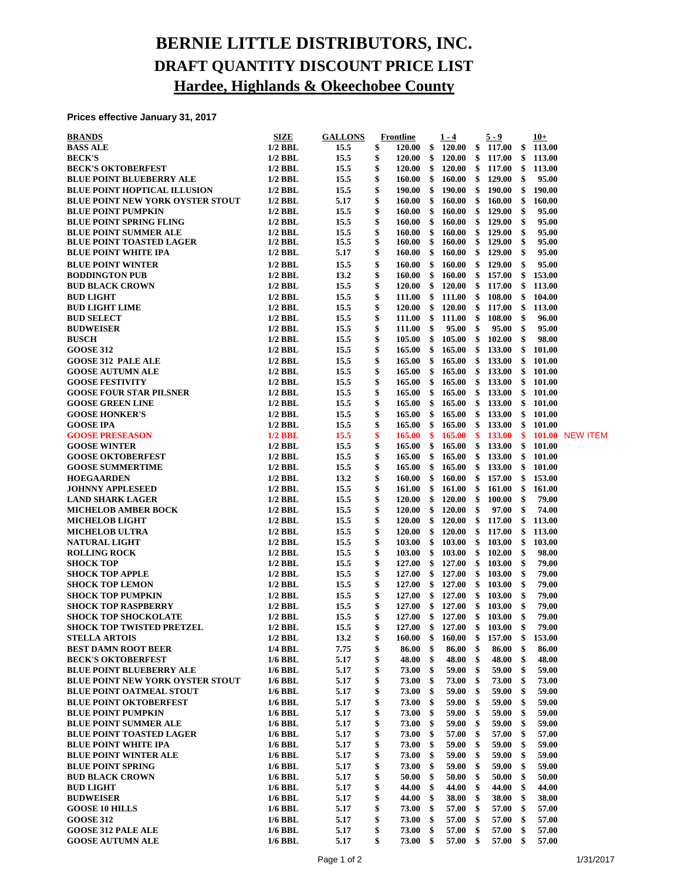## **BERNIE LITTLE DISTRIBUTORS, INC. DRAFT QUANTITY DISCOUNT PRICE LIST Hardee, Highlands & Okeechobee County**

## **Prices effective January 31, 2017**

| <b>BRANDS</b>                                            | SIZE                   | <b>GALLONS</b> |          | Frontline      |          | $1 - 4$          |          | $5 - 9$        |          | $10+$          |                        |
|----------------------------------------------------------|------------------------|----------------|----------|----------------|----------|------------------|----------|----------------|----------|----------------|------------------------|
| <b>BASS ALE</b>                                          | $1/2$ BBL              | 15.5           | \$       | 120.00         | \$       | 120.00           | \$       | 117.00         | \$       | 113.00         |                        |
| <b>BECK'S</b>                                            | $1/2$ BBL              | 15.5           | \$       | 120.00         | \$       | 120.00           | \$       | 117.00         | - \$     | 113.00         |                        |
| <b>BECK'S OKTOBERFEST</b>                                | $1/2$ BBL              | 15.5           | \$       | 120.00         | \$       | 120.00           | \$       | 117.00         | \$       | 113.00         |                        |
| <b>BLUE POINT BLUEBERRY ALE</b>                          | $1/2$ BBL              | 15.5           | \$       | 160.00         | \$       | 160.00           |          | \$129.00       | \$       | 95.00          |                        |
| <b>BLUE POINT HOPTICAL ILLUSION</b>                      | $1/2$ BBL              | 15.5           | \$       | 190.00         | \$       | 190.00           | \$       | 190.00         | \$       | 190.00         |                        |
| <b>BLUE POINT NEW YORK OYSTER STOUT</b>                  | $1/2$ BBL              | 5.17           | \$       | <b>160.00</b>  | \$       | 160.00           | \$       | 160.00         | \$       | 160.00         |                        |
| <b>BLUE POINT PUMPKIN</b>                                | $1/2$ BBL              | 15.5           | \$       | 160.00         | \$       | 160.00           | \$       | 129.00         | \$       | 95.00          |                        |
| <b>BLUE POINT SPRING FLING</b>                           | $1/2$ BBL              | 15.5           | \$       | 160.00         | \$       | 160.00           | \$       | 129.00         | \$       | 95.00          |                        |
| <b>BLUE POINT SUMMER ALE</b>                             | $1/2$ BBL              | 15.5           | \$       | 160.00         | \$       | 160.00           | \$       | 129.00         | \$       | 95.00          |                        |
| <b>BLUE POINT TOASTED LAGER</b>                          | $1/2$ BBL              | 15.5           | \$       | 160.00         | \$       | 160.00           | \$       | 129.00         | \$       | 95.00          |                        |
| <b>BLUE POINT WHITE IPA</b>                              | $1/2$ BBL              | 5.17           | \$       | <b>160.00</b>  | \$       | 160.00           |          | \$129.00       | \$       | 95.00          |                        |
| <b>BLUE POINT WINTER</b>                                 | $1/2$ BBL              | 15.5           | \$       | 160.00         | \$       | 160.00           | \$       | 129.00         | \$       | 95.00          |                        |
| <b>BODDINGTON PUB</b>                                    | $1/2$ BBL              | 13.2           | \$       | 160.00         | \$       | 160.00           | \$       | 157.00         | \$       | 153.00         |                        |
| <b>BUD BLACK CROWN</b>                                   | $1/2$ BBL              | 15.5           | \$       | 120.00         | \$       | 120.00           | \$       | 117.00         | \$       | 113.00         |                        |
| <b>BUD LIGHT</b>                                         | $1/2$ BBL              | 15.5           | \$       | <b>111.00</b>  | \$       | 111.00           | \$       | 108.00         | \$       | 104.00         |                        |
| <b>BUD LIGHT LIME</b>                                    | $1/2$ BBL              | 15.5           | \$       | <b>120.00</b>  | \$       | 120.00           | \$       | 117.00         | \$       | 113.00         |                        |
| <b>BUD SELECT</b>                                        | $1/2$ BBL              | 15.5           | \$       | <b>111.00</b>  | \$       | 111.00           | \$       | 108.00         | \$       | 96.00          |                        |
| <b>BUDWEISER</b>                                         | $1/2$ BBL              | 15.5           | \$       | 111.00         | \$       | 95.00            | \$       | 95.00          | \$       | 95.00          |                        |
| <b>BUSCH</b>                                             | $1/2$ BBL              | 15.5           | \$       | 105.00         | \$       | 105.00           | \$       | 102.00         | \$       | 98.00          |                        |
| <b>GOOSE 312</b>                                         | $1/2$ BBL              | 15.5           | \$       | 165.00         | \$       | 165.00           | \$       | 133.00         | \$       | 101.00         |                        |
| <b>GOOSE 312 PALE ALE</b>                                | $1/2$ BBL              | 15.5           | \$       | 165.00         | \$       | 165.00           | \$       | 133.00         | \$       | 101.00         |                        |
| <b>GOOSE AUTUMN ALE</b>                                  | $1/2$ BBL              | 15.5           | \$       | 165.00         | \$       | 165.00           | \$       | 133.00         | -\$      | 101.00         |                        |
| <b>GOOSE FESTIVITY</b>                                   | $1/2$ BBL              | 15.5           | \$       | 165.00         | \$       | 165.00           | \$       | 133.00         | \$       | 101.00         |                        |
| <b>GOOSE FOUR STAR PILSNER</b>                           | $1/2$ BBL              | 15.5           | \$       | 165.00         | \$       | 165.00           | \$       | 133.00         |          | \$101.00       |                        |
| <b>GOOSE GREEN LINE</b>                                  | $1/2$ BBL              | 15.5           | \$       | 165.00         | \$       | 165.00           | \$       | 133.00         | \$       | 101.00         |                        |
| <b>GOOSE HONKER'S</b>                                    | $1/2$ BBL              | 15.5           | \$       | 165.00         | \$       | 165.00           | \$       | 133.00         | \$       | 101.00         |                        |
| <b>GOOSE IPA</b>                                         | $1/2$ BBL              | 15.5           | \$       | 165.00         | \$       | 165.00           | \$       | 133.00         | - \$     | 101.00         |                        |
| <b>GOOSE PRESEASON</b>                                   | $1/2$ BBL              | 15.5           | \$       | 165.00         | \$       | 165.00           | \$       | 133.00         | - \$     |                | <b>101.00 NEW ITEM</b> |
| <b>GOOSE WINTER</b>                                      | $1/2$ BBL              | 15.5           | \$       | 165.00         | \$       | 165.00           | \$       | 133.00         |          | \$101.00       |                        |
| <b>GOOSE OKTOBERFEST</b>                                 | $1/2$ BBL              | 15.5           | \$       | 165.00         | \$       | 165.00           | \$       | 133.00         | \$       | 101.00         |                        |
| <b>GOOSE SUMMERTIME</b>                                  | $1/2$ BBL              | 15.5           | \$       | 165.00         | \$       | 165.00           | \$       | 133.00         | \$       | 101.00         |                        |
| <b>HOEGAARDEN</b>                                        | $1/2$ BBL              | 13.2           | \$       | <b>160.00</b>  | \$       | 160.00           | \$       | 157.00         | \$       | 153.00         |                        |
| <b>JOHNNY APPLESEED</b>                                  | $1/2$ BBL              | 15.5           | \$       | 161.00         | \$       | 161.00           | \$       | 161.00         | \$       | 161.00         |                        |
| <b>LAND SHARK LAGER</b>                                  | $1/2$ BBL              | 15.5           | \$       | 120.00         | \$       | 120.00           | \$       | 100.00         | \$       | 79.00          |                        |
| <b>MICHELOB AMBER BOCK</b>                               | $1/2$ BBL              | 15.5           | \$       | 120.00         | \$       | 120.00           | \$       | 97.00          | \$       | 74.00          |                        |
| <b>MICHELOB LIGHT</b>                                    | $1/2$ BBL              | 15.5           | \$       | <b>120.00</b>  | \$       | 120.00           | \$       | 117.00         | \$       | 113.00         |                        |
| <b>MICHELOB ULTRA</b>                                    | $1/2$ BBL              | 15.5           | \$       | 120.00         | \$       | 120.00           | \$       | 117.00         | \$       | 113.00         |                        |
| <b>NATURAL LIGHT</b>                                     | $1/2$ BBL              | 15.5           | \$       | 103.00         | \$       | 103.00           | \$       | 103.00         | \$       | 103.00         |                        |
| <b>ROLLING ROCK</b>                                      | $1/2$ BBL              | 15.5           | \$       | 103.00         | \$       | 103.00           | \$       | 102.00         | \$       | 98.00          |                        |
| <b>SHOCK TOP</b>                                         | $1/2$ BBL              | 15.5           | \$       | 127.00         | \$       | 127.00           | \$       | 103.00         | \$       | 79.00          |                        |
| <b>SHOCK TOP APPLE</b>                                   | $1/2$ BBL              | 15.5           | \$       | 127.00         | \$       | 127.00           | \$       | 103.00         | \$       | 79.00          |                        |
| <b>SHOCK TOP LEMON</b>                                   | $1/2$ BBL              | 15.5           | \$       | 127.00         | \$       | 127.00           | \$       | 103.00         | \$       | 79.00          |                        |
| <b>SHOCK TOP PUMPKIN</b>                                 | $1/2$ BBL              | 15.5           | \$       | 127.00         | \$       | 127.00           | \$       | 103.00         | \$       | 79.00          |                        |
| <b>SHOCK TOP RASPBERRY</b>                               | $1/2$ BBL              | 15.5           | \$       | 127.00         | \$       | 127.00           | \$       | 103.00         | \$       | 79.00          |                        |
| <b>SHOCK TOP SHOCKOLATE</b>                              | $1/2$ BBL              | 15.5           | \$       | 127.00         |          | \$127.00         | \$       | 103.00         | \$       | 79.00          |                        |
| SHOCK TOP TWISTED PRETZEL                                | $1/2$ BBL              | 15.5           | \$       |                |          | 127.00 \$ 127.00 |          | \$103.00       | \$       | 79.00          |                        |
| <b>STELLA ARTOIS</b>                                     | $1/2$ BBL              | 13.2           | \$       | 160.00         | \$       | 160.00           | \$       | 157.00         | - \$     | 153.00         |                        |
| <b>BEST DAMN ROOT BEER</b>                               | 1/4 BBL                | 7.75           | \$       | 86.00          | \$       | 86.00            | \$       | 86.00          | \$       | 86.00          |                        |
| <b>BECK'S OKTOBERFEST</b>                                | $1/6$ BBL              | 5.17           | \$       | 48.00          | \$       | 48.00            | \$       | 48.00          | \$       | 48.00          |                        |
| <b>BLUE POINT BLUEBERRY ALE</b>                          | $1/6$ BBL              | 5.17           | \$       | 73.00          | \$       | 59.00            | \$       | 59.00          | \$       | 59.00          |                        |
| <b>BLUE POINT NEW YORK OYSTER STOUT</b>                  | $1/6$ BBL              | 5.17           | \$       | 73.00          | \$       | 73.00            | \$       | 73.00          | \$       | 73.00          |                        |
| <b>BLUE POINT OATMEAL STOUT</b>                          | $1/6$ BBL              | 5.17           | \$       | 73.00          | \$       | 59.00            | \$       | 59.00          | \$       | 59.00          |                        |
| <b>BLUE POINT OKTOBERFEST</b>                            | $1/6$ BBL              | 5.17           | \$       | 73.00          | \$       | 59.00            | \$       | 59.00          | \$       | 59.00          |                        |
| <b>BLUE POINT PUMPKIN</b>                                | $1/6$ BBL              | 5.17           | \$       | 73.00          | \$       | 59.00            | \$       | 59.00          | \$       | 59.00          |                        |
| <b>BLUE POINT SUMMER ALE</b>                             | $1/6$ BBL              | 5.17           | \$       | 73.00          | \$       | 59.00            | \$       | 59.00          | \$       | 59.00          |                        |
| <b>BLUE POINT TOASTED LAGER</b>                          | $1/6$ BBL              | 5.17           | \$       | 73.00          | \$       | 57.00            | \$       | 57.00          | \$       | 57.00          |                        |
| <b>BLUE POINT WHITE IPA</b>                              | $1/6$ BBL              | 5.17           | \$       | 73.00          | \$       | 59.00            | \$       | 59.00          | \$       | 59.00          |                        |
| <b>BLUE POINT WINTER ALE</b><br><b>BLUE POINT SPRING</b> | $1/6$ BBL<br>$1/6$ BBL | 5.17           | \$<br>\$ | 73.00<br>73.00 | \$<br>\$ | 59.00<br>59.00   | \$<br>\$ | 59.00<br>59.00 | \$<br>\$ | 59.00<br>59.00 |                        |
|                                                          |                        | 5.17           |          |                |          |                  |          |                |          |                |                        |
| <b>BUD BLACK CROWN</b>                                   | $1/6$ BBL              | 5.17           | \$<br>\$ | 50.00<br>44.00 | \$<br>\$ | 50.00            | \$<br>\$ | 50.00          | \$<br>\$ | 50.00          |                        |
| <b>BUD LIGHT</b><br><b>BUDWEISER</b>                     | $1/6$ BBL<br>$1/6$ BBL | 5.17<br>5.17   | \$       | 44.00          | \$       | 44.00<br>38.00   | \$       | 44.00<br>38.00 | \$       | 44.00          |                        |
| <b>GOOSE 10 HILLS</b>                                    | $1/6$ BBL              | 5.17           | \$       | 73.00          | \$       | 57.00            | \$       | 57.00          | \$       | 38.00<br>57.00 |                        |
| <b>GOOSE 312</b>                                         | $1/6$ BBL              | 5.17           | \$       | 73.00          | \$       | 57.00            | \$       | 57.00          | \$       | 57.00          |                        |
| <b>GOOSE 312 PALE ALE</b>                                | $1/6$ BBL              | 5.17           | \$       | 73.00          | \$       | 57.00            | \$       | 57.00          | \$       | 57.00          |                        |
| <b>GOOSE AUTUMN ALE</b>                                  | $1/6$ BBL              | 5.17           | \$       | 73.00          | \$       | 57.00            | \$       | 57.00          | \$       | 57.00          |                        |
|                                                          |                        |                |          |                |          |                  |          |                |          |                |                        |